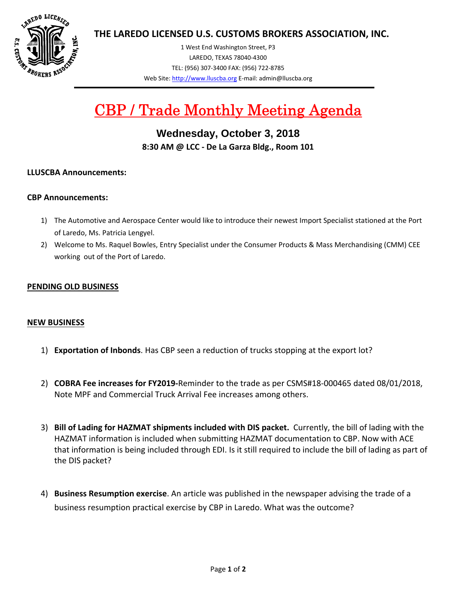

**THE LAREDO LICENSED U.S. CUSTOMS BROKERS ASSOCIATION, INC.**

1 West End Washington Street, P3 LAREDO, TEXAS 78040‐4300 TEL: (956) 307‐3400 FAX: (956) 722‐8785 Web Site: http://www.lluscba.org E‐mail: admin@lluscba.org

# CBP / Trade Monthly Meeting Agenda

**Wednesday, October 3, 2018 8:30 AM @ LCC ‐ De La Garza Bldg., Room 101**

# **LLUSCBA Announcements:**

# **CBP Announcements:**

- 1) The Automotive and Aerospace Center would like to introduce their newest Import Specialist stationed at the Port of Laredo, Ms. Patricia Lengyel.
- 2) Welcome to Ms. Raquel Bowles, Entry Specialist under the Consumer Products & Mass Merchandising (CMM) CEE working out of the Port of Laredo.

#### **PENDING OLD BUSINESS**

#### **NEW BUSINESS**

- 1) **Exportation of Inbonds**. Has CBP seen a reduction of trucks stopping at the export lot?
- 2) **COBRA Fee increases for FY2019‐**Reminder to the trade as per CSMS#18‐000465 dated 08/01/2018, Note MPF and Commercial Truck Arrival Fee increases among others.
- 3) **Bill of Lading for HAZMAT shipments included with DIS packet.** Currently, the bill of lading with the HAZMAT information is included when submitting HAZMAT documentation to CBP. Now with ACE that information is being included through EDI. Is it still required to include the bill of lading as part of the DIS packet?
- 4) **Business Resumption exercise**. An article was published in the newspaper advising the trade of a business resumption practical exercise by CBP in Laredo. What was the outcome?